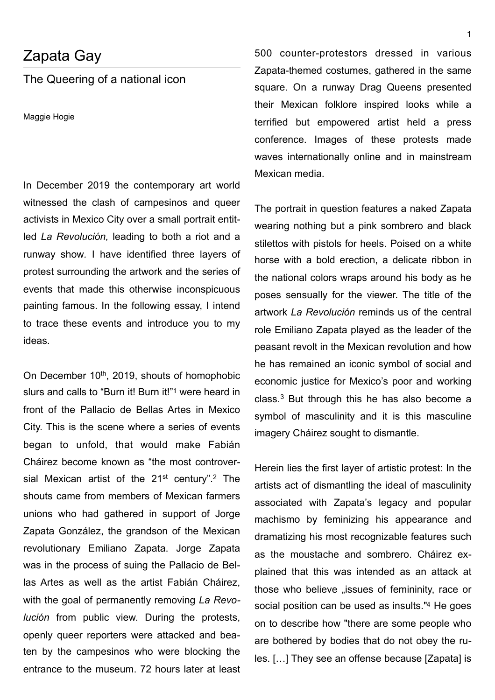## Zapata Gay

## The Queering of a national icon

Maggie Hogie

In December 2019 the contemporary art world witnessed the clash of campesinos and queer activists in Mexico City over a small portrait entitled *La Revolución,* leading to both a riot and a runway show*.* I have identified three layers of protest surrounding the artwork and the series of events that made this otherwise inconspicuous painting famous. In the following essay, I intend to trace these events and introduce you to my ideas.

On December 10<sup>th</sup>, 2019, shouts of homophobic slurs and calls to "Burn it! Burn it!"<sup>[1](#page-3-0)</sup> were heard in front of the Pallacio de Bellas Artes in Mexico City. This is the scene where a series of events began to unfold, that would make Fabián Cháirez become known as "the most controversial Mexican artist of the  $21^{st}$  $21^{st}$  century".<sup>2</sup> The shouts came from members of Mexican farmers unions who had gathered in support of Jorge Zapata González, the grandson of the Mexican revolutionary Emiliano Zapata. Jorge Zapata was in the process of suing the Pallacio de Bellas Artes as well as the artist Fabián Cháirez, with the goal of permanently removing *La Revolución* from public view. During the protests, openly queer reporters were attacked and beaten by the campesinos who were blocking the entrance to the museum. 72 hours later at least

500 counter-protestors dressed in various Zapata-themed costumes, gathered in the same square. On a runway Drag Queens presented their Mexican folklore inspired looks while a terrified but empowered artist held a press conference. Images of these protests made waves internationally online and in mainstream Mexican media.

The portrait in question features a naked Zapata wearing nothing but a pink sombrero and black stilettos with pistols for heels. Poised on a white horse with a bold erection, a delicate ribbon in the national colors wraps around his body as he poses sensually for the viewer. The title of the artwork *La Revolución* reminds us of the central role Emiliano Zapata played as the leader of the peasant revolt in the Mexican revolution and how he has remained an iconic symbol of social and economic justice for Mexico's poor and working class. $3$  But through this he has also become a symbol of masculinity and it is this masculine imagery Cháirez sought to dismantle.

<span id="page-0-3"></span><span id="page-0-2"></span><span id="page-0-1"></span><span id="page-0-0"></span>Herein lies the first layer of artistic protest: In the artists act of dismantling the ideal of masculinity associated with Zapata's legacy and popular machismo by feminizing his appearance and dramatizing his most recognizable features such as the moustache and sombrero. Cháirez explained that this was intended as an attack at those who believe "issues of femininity, race or social position can be used as insults."<sup>[4](#page-3-3)</sup> He goes on to describe how "there are some people who are bothered by bodies that do not obey the rules. […] They see an offense because [Zapata] is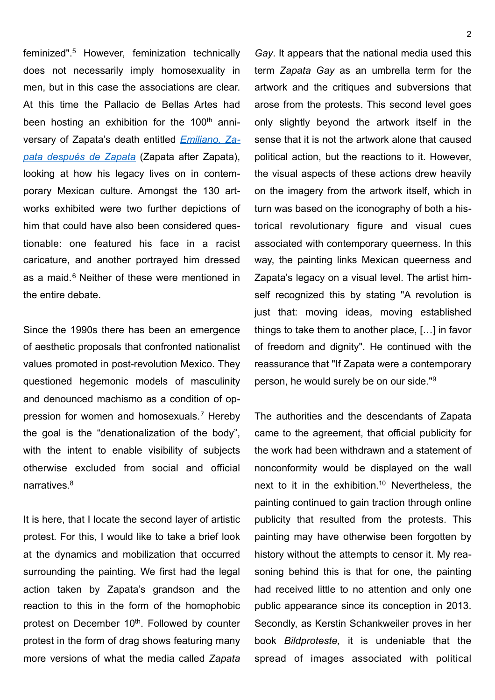<span id="page-1-0"></span>feminized".<sup>5</sup>However, feminization technically does not necessarily imply homosexuality in men, but in this case the associations are clear. At this time the Pallacio de Bellas Artes had been hosting an exhibition for the  $100<sup>th</sup>$  anniversary of Zapata's death entitled *[Emiliano. Za](https://www.artforum.com/picks/zapata-despues-de-zapata-82085)[pata después de Zapata](https://www.artforum.com/picks/zapata-despues-de-zapata-82085)* (Zapata after Zapata), looking at how his legacy lives on in contemporary Mexican culture. Amongst the 130 artworks exhibited were two further depictions of him that could have also been considered questionable: one featured his face in a racist caricature, and another portrayed him dressed asa maid. $6$  Neither of these were mentioned in the entire debate.

<span id="page-1-1"></span>Since the 1990s there has been an emergence of aesthetic proposals that confronted nationalist values promoted in post-revolution Mexico. They questioned hegemonic models of masculinity and denounced machismo as a condition of op-pressionfor women and homosexuals.<sup>[7](#page-3-6)</sup> Hereby the goal is the "denationalization of the body", with the intent to enable visibility of subjects otherwise excluded from social and official narratives.<sup>8</sup>

<span id="page-1-3"></span>It is here, that I locate the second layer of artistic protest. For this, I would like to take a brief look at the dynamics and mobilization that occurred surrounding the painting. We first had the legal action taken by Zapata's grandson and the reaction to this in the form of the homophobic protest on December 10<sup>th</sup>. Followed by counter protest in the form of drag shows featuring many more versions of what the media called *Zapata* 

*Gay*. It appears that the national media used this term *Zapata Gay* as an umbrella term for the artwork and the critiques and subversions that arose from the protests. This second level goes only slightly beyond the artwork itself in the sense that it is not the artwork alone that caused political action, but the reactions to it. However, the visual aspects of these actions drew heavily on the imagery from the artwork itself, which in turn was based on the iconography of both a historical revolutionary figure and visual cues associated with contemporary queerness. In this way, the painting links Mexican queerness and Zapata's legacy on a visual level. The artist himself recognized this by stating "A revolution is just that: moving ideas, moving established things to take them to another place, […] in favor of freedom and dignity". He continued with the reassurance that "If Zapata were a contemporary person, he would surely be on our side."[9](#page-3-8)

<span id="page-1-5"></span><span id="page-1-4"></span><span id="page-1-2"></span>The authorities and the descendants of Zapata came to the agreement, that official publicity for the work had been withdrawn and a statement of nonconformity would be displayed on the wall next to it in the exhibition[.](#page-3-9)<sup>[10](#page-3-9)</sup> Nevertheless, the painting continued to gain traction through online publicity that resulted from the protests. This painting may have otherwise been forgotten by history without the attempts to censor it. My reasoning behind this is that for one, the painting had received little to no attention and only one public appearance since its conception in 2013. Secondly, as Kerstin Schankweiler proves in her book *Bildproteste,* it is undeniable that the spread of images associated with political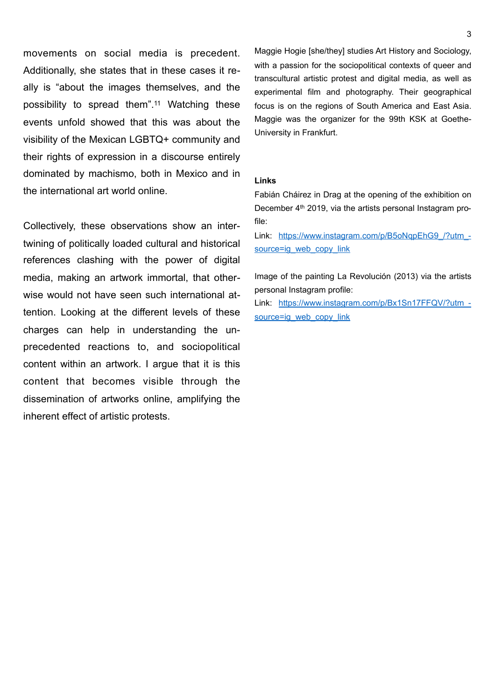movements on social media is precedent. Additionally, she states that in these cases it really is "about the images themselves, and the possibilityto spread them".<sup>[11](#page-3-10)</sup> Watching these events unfold showed that this was about the visibility of the Mexican LGBTQ+ community and their rights of expression in a discourse entirely dominated by machismo, both in Mexico and in the international art world online.

Collectively, these observations show an intertwining of politically loaded cultural and historical references clashing with the power of digital media, making an artwork immortal, that otherwise would not have seen such international attention. Looking at the different levels of these charges can help in understanding the unprecedented reactions to, and sociopolitical content within an artwork. I argue that it is this content that becomes visible through the dissemination of artworks online, amplifying the inherent effect of artistic protests.

<span id="page-2-0"></span>Maggie Hogie [she/they] studies Art History and Sociology, with a passion for the sociopolitical contexts of queer and transcultural artistic protest and digital media, as well as experimental film and photography. Their geographical focus is on the regions of South America and East Asia. Maggie was the organizer for the 99th KSK at Goethe-University in Frankfurt.

## **Links**

Fabián Cháirez in Drag at the opening of the exhibition on December 4<sup>th</sup> 2019, via the artists personal Instagram profile:

Link: https://www.instagram.com/p/B5oNgpEhG9\_/?utm\_[source=ig\\_web\\_copy\\_link](https://www.instagram.com/p/B5oNqpEhG9_/?utm_source=ig_web_copy_link)

Image of the painting La Revolución (2013) via the artists personal Instagram profile:

Link: [https://www.instagram.com/p/Bx1Sn17FFQV/?utm\\_](https://www.instagram.com/p/Bx1Sn17FFQV/?utm_source=ig_web_copy_link) [source=ig\\_web\\_copy\\_link](https://www.instagram.com/p/Bx1Sn17FFQV/?utm_source=ig_web_copy_link)